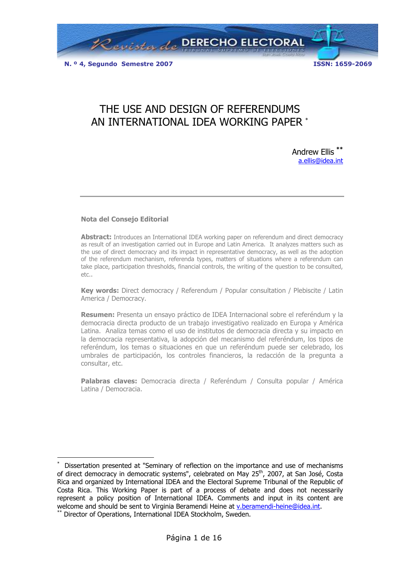

# THE USE AND DESIGN OF REFERENDUMS AN INTERNATIONAL IDEA WORKING PAPER \*

Andrew Ellis \*\* a.ellis@idea.int

#### Nota del Consejo Editorial

**Abstract:** Introduces an International IDEA working paper on referendum and direct democracy as result of an investigation carried out in Europe and Latin America. It analyzes matters such as the use of direct democracy and its impact in representative democracy, as well as the adoption of the referendum mechanism, referenda types, matters of situations where a referendum can take place, participation thresholds, financial controls, the writing of the question to be consulted, etc..

Key words: Direct democracy / Referendum / Popular consultation / Plebiscite / Latin America / Democracy.

Resumen: Presenta un ensayo práctico de IDEA Internacional sobre el referéndum y la democracia directa producto de un trabajo investigativo realizado en Europa y América Latina. Analiza temas como el uso de institutos de democracia directa y su impacto en la democracia representativa, la adopción del mecanismo del referéndum, los tipos de referéndum, los temas o situaciones en que un referéndum puede ser celebrado, los umbrales de participación, los controles financieros, la redacción de la pregunta a consultar, etc.

Palabras claves: Democracia directa / Referéndum / Consulta popular / América Latina / Democracia.

 $\overline{a}$ 

<sup>\*</sup> Dissertation presented at "Seminary of reflection on the importance and use of mechanisms of direct democracy in democratic systems", celebrated on May 25<sup>th</sup>, 2007, at San José, Costa Rica and organized by International IDEA and the Electoral Supreme Tribunal of the Republic of Costa Rica. This Working Paper is part of a process of debate and does not necessarily represent a policy position of International IDEA. Comments and input in its content are welcome and should be sent to Virginia Beramendi Heine at v.beramendi-heine@idea.int.

<sup>\*\*</sup> Director of Operations, International IDEA Stockholm, Sweden.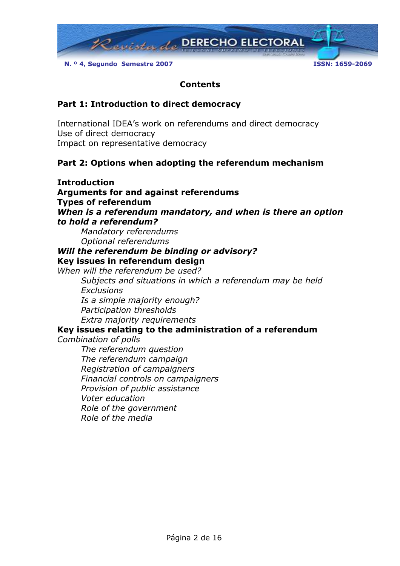

#### Contents

## Part 1: Introduction to direct democracy

International IDEA's work on referendums and direct democracy Use of direct democracy Impact on representative democracy

## Part 2: Options when adopting the referendum mechanism

Introduction Arguments for and against referendums Types of referendum When is a referendum mandatory, and when is there an option to hold a referendum? Mandatory referendums Optional referendums Will the referendum be binding or advisory? Key issues in referendum design When will the referendum be used? Subjects and situations in which a referendum may be held **Exclusions** Is a simple majority enough? Participation thresholds Extra majority requirements Key issues relating to the administration of a referendum Combination of polls The referendum question The referendum campaign Registration of campaigners Financial controls on campaigners Provision of public assistance Voter education Role of the government Role of the media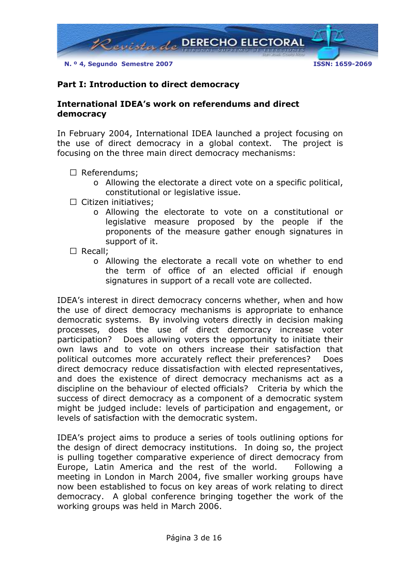

## Part I: Introduction to direct democracy

### International IDEA's work on referendums and direct democracy

In February 2004, International IDEA launched a project focusing on the use of direct democracy in a global context. The project is focusing on the three main direct democracy mechanisms:

- Referendums;
	- o Allowing the electorate a direct vote on a specific political, constitutional or legislative issue.
- Citizen initiatives;
	- o Allowing the electorate to vote on a constitutional or legislative measure proposed by the people if the proponents of the measure gather enough signatures in support of it.
- Recall:
	- o Allowing the electorate a recall vote on whether to end the term of office of an elected official if enough signatures in support of a recall vote are collected.

IDEA's interest in direct democracy concerns whether, when and how the use of direct democracy mechanisms is appropriate to enhance democratic systems. By involving voters directly in decision making processes, does the use of direct democracy increase voter participation? Does allowing voters the opportunity to initiate their own laws and to vote on others increase their satisfaction that political outcomes more accurately reflect their preferences? Does direct democracy reduce dissatisfaction with elected representatives, and does the existence of direct democracy mechanisms act as a discipline on the behaviour of elected officials? Criteria by which the success of direct democracy as a component of a democratic system might be judged include: levels of participation and engagement, or levels of satisfaction with the democratic system.

IDEA's project aims to produce a series of tools outlining options for the design of direct democracy institutions. In doing so, the project is pulling together comparative experience of direct democracy from Europe, Latin America and the rest of the world. Following a meeting in London in March 2004, five smaller working groups have now been established to focus on key areas of work relating to direct democracy. A global conference bringing together the work of the working groups was held in March 2006.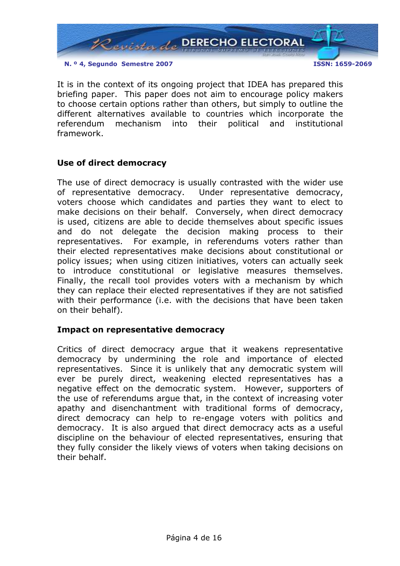

It is in the context of its ongoing project that IDEA has prepared this briefing paper. This paper does not aim to encourage policy makers to choose certain options rather than others, but simply to outline the different alternatives available to countries which incorporate the referendum mechanism into their political and institutional framework.

#### Use of direct democracy

The use of direct democracy is usually contrasted with the wider use of representative democracy. Under representative democracy, voters choose which candidates and parties they want to elect to make decisions on their behalf. Conversely, when direct democracy is used, citizens are able to decide themselves about specific issues and do not delegate the decision making process to their representatives. For example, in referendums voters rather than their elected representatives make decisions about constitutional or policy issues; when using citizen initiatives, voters can actually seek to introduce constitutional or legislative measures themselves. Finally, the recall tool provides voters with a mechanism by which they can replace their elected representatives if they are not satisfied with their performance (i.e. with the decisions that have been taken on their behalf).

#### Impact on representative democracy

Critics of direct democracy argue that it weakens representative democracy by undermining the role and importance of elected representatives. Since it is unlikely that any democratic system will ever be purely direct, weakening elected representatives has a negative effect on the democratic system. However, supporters of the use of referendums argue that, in the context of increasing voter apathy and disenchantment with traditional forms of democracy, direct democracy can help to re-engage voters with politics and democracy. It is also argued that direct democracy acts as a useful discipline on the behaviour of elected representatives, ensuring that they fully consider the likely views of voters when taking decisions on their behalf.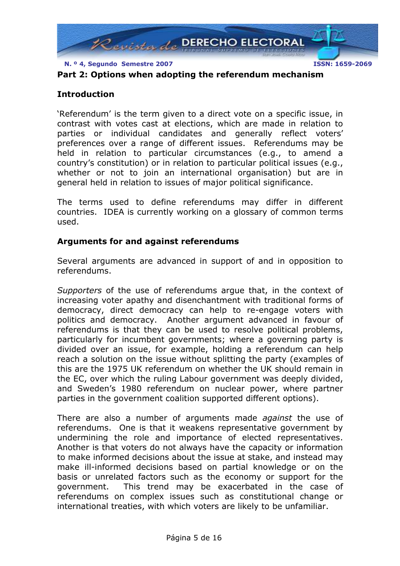

## Part 2: Options when adopting the referendum mechanism

## Introduction

'Referendum' is the term given to a direct vote on a specific issue, in contrast with votes cast at elections, which are made in relation to parties or individual candidates and generally reflect voters' preferences over a range of different issues. Referendums may be held in relation to particular circumstances (e.g., to amend a country's constitution) or in relation to particular political issues (e.g., whether or not to join an international organisation) but are in general held in relation to issues of major political significance.

The terms used to define referendums may differ in different countries. IDEA is currently working on a glossary of common terms used.

## Arguments for and against referendums

Several arguments are advanced in support of and in opposition to referendums.

Supporters of the use of referendums argue that, in the context of increasing voter apathy and disenchantment with traditional forms of democracy, direct democracy can help to re-engage voters with politics and democracy. Another argument advanced in favour of referendums is that they can be used to resolve political problems, particularly for incumbent governments; where a governing party is divided over an issue, for example, holding a referendum can help reach a solution on the issue without splitting the party (examples of this are the 1975 UK referendum on whether the UK should remain in the EC, over which the ruling Labour government was deeply divided, and Sweden's 1980 referendum on nuclear power, where partner parties in the government coalition supported different options).

There are also a number of arguments made *against* the use of referendums. One is that it weakens representative government by undermining the role and importance of elected representatives. Another is that voters do not always have the capacity or information to make informed decisions about the issue at stake, and instead may make ill-informed decisions based on partial knowledge or on the basis or unrelated factors such as the economy or support for the government. This trend may be exacerbated in the case of referendums on complex issues such as constitutional change or international treaties, with which voters are likely to be unfamiliar.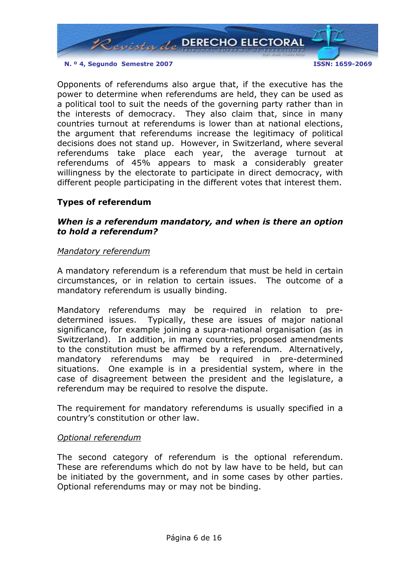

Opponents of referendums also argue that, if the executive has the power to determine when referendums are held, they can be used as a political tool to suit the needs of the governing party rather than in the interests of democracy. They also claim that, since in many countries turnout at referendums is lower than at national elections, the argument that referendums increase the legitimacy of political decisions does not stand up. However, in Switzerland, where several referendums take place each year, the average turnout at referendums of 45% appears to mask a considerably greater willingness by the electorate to participate in direct democracy, with different people participating in the different votes that interest them.

## Types of referendum

### When is a referendum mandatory, and when is there an option to hold a referendum?

#### Mandatory referendum

A mandatory referendum is a referendum that must be held in certain circumstances, or in relation to certain issues. The outcome of a mandatory referendum is usually binding.

Mandatory referendums may be required in relation to predetermined issues. Typically, these are issues of major national significance, for example joining a supra-national organisation (as in Switzerland). In addition, in many countries, proposed amendments to the constitution must be affirmed by a referendum. Alternatively, mandatory referendums may be required in pre-determined situations. One example is in a presidential system, where in the case of disagreement between the president and the legislature, a referendum may be required to resolve the dispute.

The requirement for mandatory referendums is usually specified in a country's constitution or other law.

#### Optional referendum

The second category of referendum is the optional referendum. These are referendums which do not by law have to be held, but can be initiated by the government, and in some cases by other parties. Optional referendums may or may not be binding.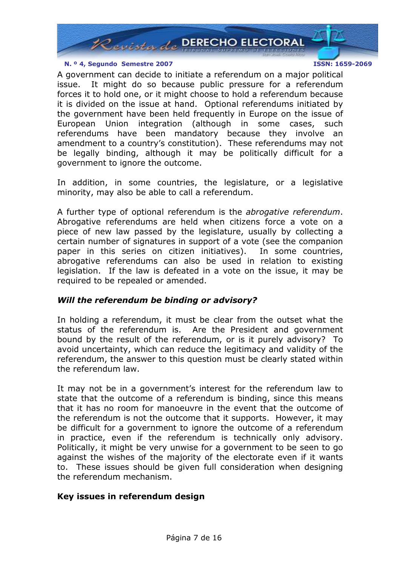

A government can decide to initiate a referendum on a major political issue. It might do so because public pressure for a referendum forces it to hold one, or it might choose to hold a referendum because it is divided on the issue at hand. Optional referendums initiated by the government have been held frequently in Europe on the issue of European Union integration (although in some cases, such referendums have been mandatory because they involve an amendment to a country's constitution). These referendums may not be legally binding, although it may be politically difficult for a government to ignore the outcome.

In addition, in some countries, the legislature, or a legislative minority, may also be able to call a referendum.

A further type of optional referendum is the *abrogative referendum*. Abrogative referendums are held when citizens force a vote on a piece of new law passed by the legislature, usually by collecting a certain number of signatures in support of a vote (see the companion paper in this series on citizen initiatives). In some countries, abrogative referendums can also be used in relation to existing legislation. If the law is defeated in a vote on the issue, it may be required to be repealed or amended.

## Will the referendum be binding or advisory?

In holding a referendum, it must be clear from the outset what the status of the referendum is. Are the President and government bound by the result of the referendum, or is it purely advisory? To avoid uncertainty, which can reduce the legitimacy and validity of the referendum, the answer to this question must be clearly stated within the referendum law.

It may not be in a government's interest for the referendum law to state that the outcome of a referendum is binding, since this means that it has no room for manoeuvre in the event that the outcome of the referendum is not the outcome that it supports. However, it may be difficult for a government to ignore the outcome of a referendum in practice, even if the referendum is technically only advisory. Politically, it might be very unwise for a government to be seen to go against the wishes of the majority of the electorate even if it wants to. These issues should be given full consideration when designing the referendum mechanism.

## Key issues in referendum design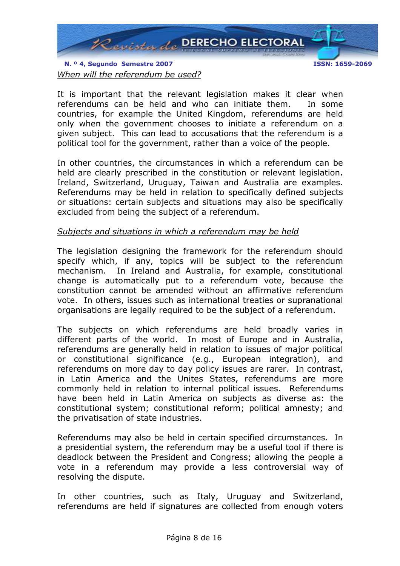

When will the referendum be used?

It is important that the relevant legislation makes it clear when referendums can be held and who can initiate them. In some countries, for example the United Kingdom, referendums are held only when the government chooses to initiate a referendum on a given subject. This can lead to accusations that the referendum is a political tool for the government, rather than a voice of the people.

In other countries, the circumstances in which a referendum can be held are clearly prescribed in the constitution or relevant legislation. Ireland, Switzerland, Uruguay, Taiwan and Australia are examples. Referendums may be held in relation to specifically defined subjects or situations: certain subjects and situations may also be specifically excluded from being the subject of a referendum.

## Subjects and situations in which a referendum may be held

The legislation designing the framework for the referendum should specify which, if any, topics will be subject to the referendum mechanism. In Ireland and Australia, for example, constitutional change is automatically put to a referendum vote, because the constitution cannot be amended without an affirmative referendum vote. In others, issues such as international treaties or supranational organisations are legally required to be the subject of a referendum.

The subjects on which referendums are held broadly varies in different parts of the world. In most of Europe and in Australia, referendums are generally held in relation to issues of major political or constitutional significance (e.g., European integration), and referendums on more day to day policy issues are rarer. In contrast, in Latin America and the Unites States, referendums are more commonly held in relation to internal political issues. Referendums have been held in Latin America on subjects as diverse as: the constitutional system; constitutional reform; political amnesty; and the privatisation of state industries.

Referendums may also be held in certain specified circumstances. In a presidential system, the referendum may be a useful tool if there is deadlock between the President and Congress; allowing the people a vote in a referendum may provide a less controversial way of resolving the dispute.

In other countries, such as Italy, Uruguay and Switzerland, referendums are held if signatures are collected from enough voters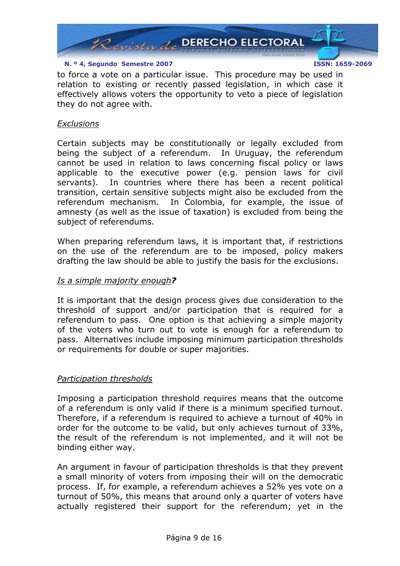

to force a vote on a particular issue. This procedure may be used in relation to existing or recently passed legislation, in which case it effectively allows voters the opportunity to veto a piece of legislation they do not agree with.

#### **Exclusions**

Certain subjects may be constitutionally or legally excluded from being the subject of a referendum. In Uruguay, the referendum cannot be used in relation to laws concerning fiscal policy or laws applicable to the executive power (e.g. pension laws for civil servants). In countries where there has been a recent political transition, certain sensitive subjects might also be excluded from the referendum mechanism. In Colombia, for example, the issue of amnesty (as well as the issue of taxation) is excluded from being the subject of referendums.

When preparing referendum laws, it is important that, if restrictions on the use of the referendum are to be imposed, policy makers drafting the law should be able to justify the basis for the exclusions.

#### Is a simple majority enough?

It is important that the design process gives due consideration to the threshold of support and/or participation that is required for a referendum to pass. One option is that achieving a simple majority of the voters who turn out to vote is enough for a referendum to pass. Alternatives include imposing minimum participation thresholds or requirements for double or super majorities.

#### Participation thresholds

Imposing a participation threshold requires means that the outcome of a referendum is only valid if there is a minimum specified turnout. Therefore, if a referendum is required to achieve a turnout of 40% in order for the outcome to be valid, but only achieves turnout of 33%, the result of the referendum is not implemented, and it will not be binding either way.

An argument in favour of participation thresholds is that they prevent a small minority of voters from imposing their will on the democratic process. If, for example, a referendum achieves a 52% yes vote on a turnout of 50%, this means that around only a quarter of voters have actually registered their support for the referendum; yet in the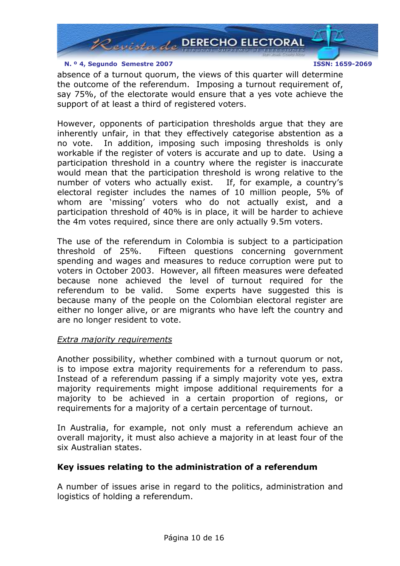

absence of a turnout quorum, the views of this quarter will determine the outcome of the referendum. Imposing a turnout requirement of, say 75%, of the electorate would ensure that a yes vote achieve the support of at least a third of registered voters.

However, opponents of participation thresholds argue that they are inherently unfair, in that they effectively categorise abstention as a no vote. In addition, imposing such imposing thresholds is only workable if the register of voters is accurate and up to date. Using a participation threshold in a country where the register is inaccurate would mean that the participation threshold is wrong relative to the number of voters who actually exist. If, for example, a country's electoral register includes the names of 10 million people, 5% of whom are 'missing' voters who do not actually exist, and a participation threshold of 40% is in place, it will be harder to achieve the 4m votes required, since there are only actually 9.5m voters.

The use of the referendum in Colombia is subject to a participation threshold of 25%. Fifteen questions concerning government spending and wages and measures to reduce corruption were put to voters in October 2003. However, all fifteen measures were defeated because none achieved the level of turnout required for the referendum to be valid. Some experts have suggested this is because many of the people on the Colombian electoral register are either no longer alive, or are migrants who have left the country and are no longer resident to vote.

#### Extra majority requirements

Another possibility, whether combined with a turnout quorum or not, is to impose extra majority requirements for a referendum to pass. Instead of a referendum passing if a simply majority vote yes, extra majority requirements might impose additional requirements for a majority to be achieved in a certain proportion of regions, or requirements for a majority of a certain percentage of turnout.

In Australia, for example, not only must a referendum achieve an overall majority, it must also achieve a majority in at least four of the six Australian states.

## Key issues relating to the administration of a referendum

A number of issues arise in regard to the politics, administration and logistics of holding a referendum.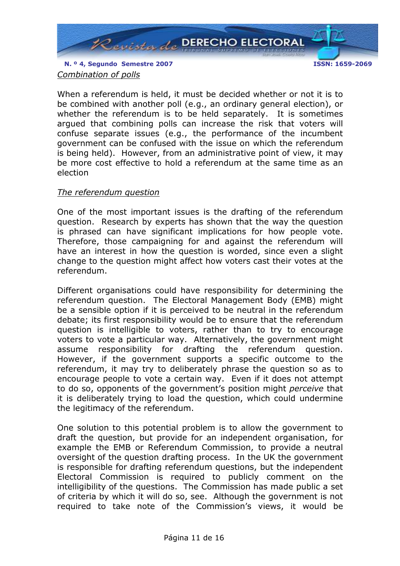

## Combination of polls

When a referendum is held, it must be decided whether or not it is to be combined with another poll (e.g., an ordinary general election), or whether the referendum is to be held separately. It is sometimes argued that combining polls can increase the risk that voters will confuse separate issues (e.g., the performance of the incumbent government can be confused with the issue on which the referendum is being held). However, from an administrative point of view, it may be more cost effective to hold a referendum at the same time as an election

## The referendum question

One of the most important issues is the drafting of the referendum question. Research by experts has shown that the way the question is phrased can have significant implications for how people vote. Therefore, those campaigning for and against the referendum will have an interest in how the question is worded, since even a slight change to the question might affect how voters cast their votes at the referendum.

Different organisations could have responsibility for determining the referendum question. The Electoral Management Body (EMB) might be a sensible option if it is perceived to be neutral in the referendum debate; its first responsibility would be to ensure that the referendum question is intelligible to voters, rather than to try to encourage voters to vote a particular way. Alternatively, the government might assume responsibility for drafting the referendum question. However, if the government supports a specific outcome to the referendum, it may try to deliberately phrase the question so as to encourage people to vote a certain way. Even if it does not attempt to do so, opponents of the government's position might perceive that it is deliberately trying to load the question, which could undermine the legitimacy of the referendum.

One solution to this potential problem is to allow the government to draft the question, but provide for an independent organisation, for example the EMB or Referendum Commission, to provide a neutral oversight of the question drafting process. In the UK the government is responsible for drafting referendum questions, but the independent Electoral Commission is required to publicly comment on the intelligibility of the questions. The Commission has made public a set of criteria by which it will do so, see. Although the government is not required to take note of the Commission's views, it would be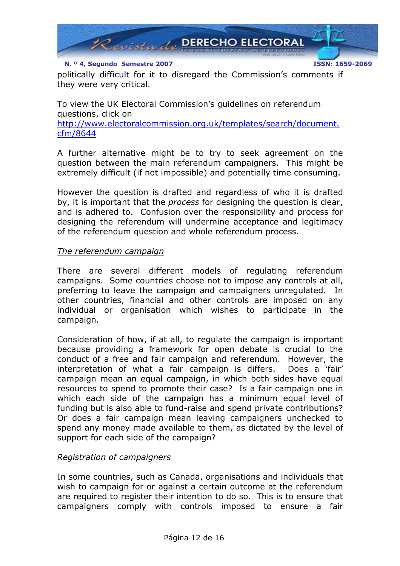

politically difficult for it to disregard the Commission's comments if they were very critical.

To view the UK Electoral Commission's guidelines on referendum questions, click on http://www.electoralcommission.org.uk/templates/search/document. cfm/8644

A further alternative might be to try to seek agreement on the question between the main referendum campaigners. This might be extremely difficult (if not impossible) and potentially time consuming.

However the question is drafted and regardless of who it is drafted by, it is important that the *process* for designing the question is clear, and is adhered to. Confusion over the responsibility and process for designing the referendum will undermine acceptance and legitimacy of the referendum question and whole referendum process.

#### The referendum campaign

There are several different models of regulating referendum campaigns. Some countries choose not to impose any controls at all, preferring to leave the campaign and campaigners unregulated. In other countries, financial and other controls are imposed on any individual or organisation which wishes to participate in the campaign.

Consideration of how, if at all, to regulate the campaign is important because providing a framework for open debate is crucial to the conduct of a free and fair campaign and referendum. However, the interpretation of what a fair campaign is differs. Does a 'fair' campaign mean an equal campaign, in which both sides have equal resources to spend to promote their case? Is a fair campaign one in which each side of the campaign has a minimum equal level of funding but is also able to fund-raise and spend private contributions? Or does a fair campaign mean leaving campaigners unchecked to spend any money made available to them, as dictated by the level of support for each side of the campaign?

#### Registration of campaigners

In some countries, such as Canada, organisations and individuals that wish to campaign for or against a certain outcome at the referendum are required to register their intention to do so. This is to ensure that campaigners comply with controls imposed to ensure a fair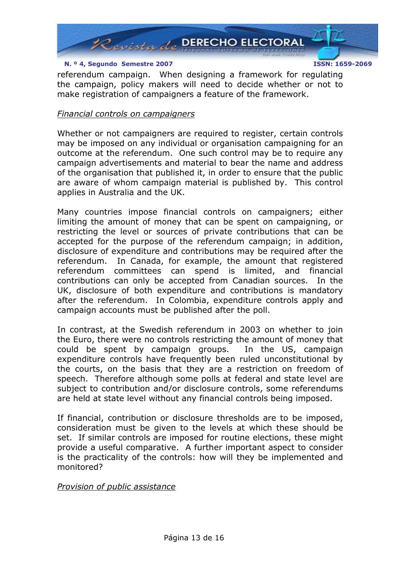

referendum campaign. When designing a framework for regulating the campaign, policy makers will need to decide whether or not to make registration of campaigners a feature of the framework.

### Financial controls on campaigners

Whether or not campaigners are required to register, certain controls may be imposed on any individual or organisation campaigning for an outcome at the referendum. One such control may be to require any campaign advertisements and material to bear the name and address of the organisation that published it, in order to ensure that the public are aware of whom campaign material is published by. This control applies in Australia and the UK.

Many countries impose financial controls on campaigners; either limiting the amount of money that can be spent on campaigning, or restricting the level or sources of private contributions that can be accepted for the purpose of the referendum campaign; in addition, disclosure of expenditure and contributions may be required after the referendum. In Canada, for example, the amount that registered referendum committees can spend is limited, and financial contributions can only be accepted from Canadian sources. In the UK, disclosure of both expenditure and contributions is mandatory after the referendum. In Colombia, expenditure controls apply and campaign accounts must be published after the poll.

In contrast, at the Swedish referendum in 2003 on whether to join the Euro, there were no controls restricting the amount of money that could be spent by campaign groups. In the US, campaign expenditure controls have frequently been ruled unconstitutional by the courts, on the basis that they are a restriction on freedom of speech. Therefore although some polls at federal and state level are subject to contribution and/or disclosure controls, some referendums are held at state level without any financial controls being imposed.

If financial, contribution or disclosure thresholds are to be imposed, consideration must be given to the levels at which these should be set. If similar controls are imposed for routine elections, these might provide a useful comparative. A further important aspect to consider is the practicality of the controls: how will they be implemented and monitored?

#### Provision of public assistance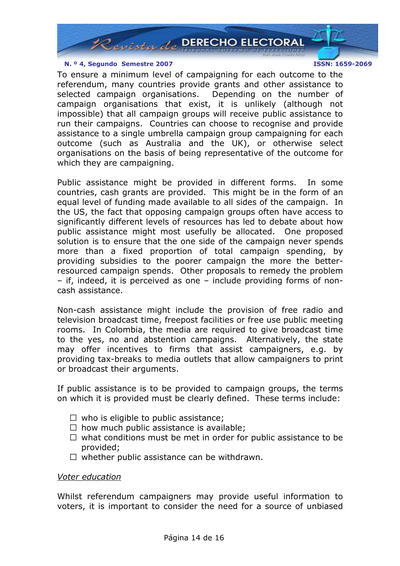

To ensure a minimum level of campaigning for each outcome to the referendum, many countries provide grants and other assistance to selected campaign organisations. Depending on the number of campaign organisations that exist, it is unlikely (although not impossible) that all campaign groups will receive public assistance to run their campaigns. Countries can choose to recognise and provide assistance to a single umbrella campaign group campaigning for each outcome (such as Australia and the UK), or otherwise select organisations on the basis of being representative of the outcome for which they are campaigning.

Public assistance might be provided in different forms. In some countries, cash grants are provided. This might be in the form of an equal level of funding made available to all sides of the campaign. In the US, the fact that opposing campaign groups often have access to significantly different levels of resources has led to debate about how public assistance might most usefully be allocated. One proposed solution is to ensure that the one side of the campaign never spends more than a fixed proportion of total campaign spending, by providing subsidies to the poorer campaign the more the betterresourced campaign spends. Other proposals to remedy the problem – if, indeed, it is perceived as one – include providing forms of noncash assistance.

Non-cash assistance might include the provision of free radio and television broadcast time, freepost facilities or free use public meeting rooms. In Colombia, the media are required to give broadcast time to the yes, no and abstention campaigns. Alternatively, the state may offer incentives to firms that assist campaigners, e.g. by providing tax-breaks to media outlets that allow campaigners to print or broadcast their arguments.

If public assistance is to be provided to campaign groups, the terms on which it is provided must be clearly defined. These terms include:

- who is eligible to public assistance;
- how much public assistance is available;
- what conditions must be met in order for public assistance to be provided;
- whether public assistance can be withdrawn.

#### Voter education

Whilst referendum campaigners may provide useful information to voters, it is important to consider the need for a source of unbiased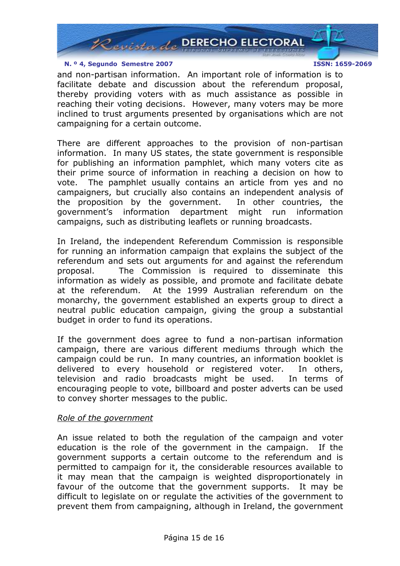

and non-partisan information. An important role of information is to facilitate debate and discussion about the referendum proposal, thereby providing voters with as much assistance as possible in reaching their voting decisions. However, many voters may be more inclined to trust arguments presented by organisations which are not campaigning for a certain outcome.

There are different approaches to the provision of non-partisan information. In many US states, the state government is responsible for publishing an information pamphlet, which many voters cite as their prime source of information in reaching a decision on how to vote. The pamphlet usually contains an article from yes and no campaigners, but crucially also contains an independent analysis of the proposition by the government. In other countries, the government's information department might run information campaigns, such as distributing leaflets or running broadcasts.

In Ireland, the independent Referendum Commission is responsible for running an information campaign that explains the subject of the referendum and sets out arguments for and against the referendum proposal. The Commission is required to disseminate this information as widely as possible, and promote and facilitate debate at the referendum. At the 1999 Australian referendum on the monarchy, the government established an experts group to direct a neutral public education campaign, giving the group a substantial budget in order to fund its operations.

If the government does agree to fund a non-partisan information campaign, there are various different mediums through which the campaign could be run. In many countries, an information booklet is delivered to every household or registered voter. In others, television and radio broadcasts might be used. In terms of encouraging people to vote, billboard and poster adverts can be used to convey shorter messages to the public.

#### Role of the government

An issue related to both the regulation of the campaign and voter education is the role of the government in the campaign. If the government supports a certain outcome to the referendum and is permitted to campaign for it, the considerable resources available to it may mean that the campaign is weighted disproportionately in favour of the outcome that the government supports. It may be difficult to legislate on or regulate the activities of the government to prevent them from campaigning, although in Ireland, the government